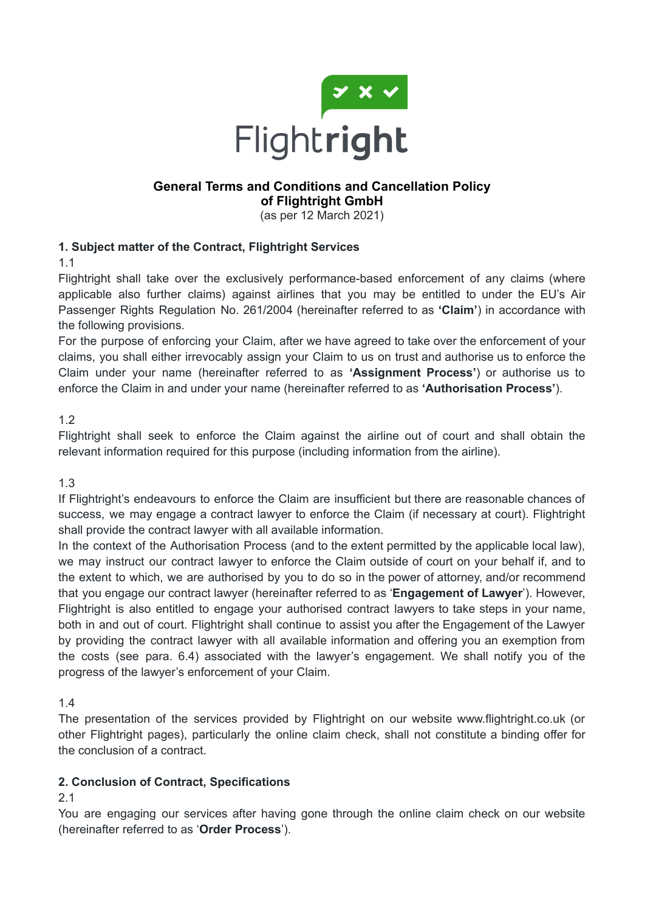

# **General Terms and Conditions and Cancellation Policy of Flightright GmbH**

(as per 12 March 2021)

# **1. Subject matter of the Contract, Flightright Services**

1.1

Flightright shall take over the exclusively performance-based enforcement of any claims (where applicable also further claims) against airlines that you may be entitled to under the EU's Air Passenger Rights Regulation No. 261/2004 (hereinafter referred to as **'Claim'**) in accordance with the following provisions.

For the purpose of enforcing your Claim, after we have agreed to take over the enforcement of your claims, you shall either irrevocably assign your Claim to us on trust and authorise us to enforce the Claim under your name (hereinafter referred to as **'Assignment Process'**) or authorise us to enforce the Claim in and under your name (hereinafter referred to as **'Authorisation Process'**).

### 1.2

Flightright shall seek to enforce the Claim against the airline out of court and shall obtain the relevant information required for this purpose (including information from the airline).

1.3

If Flightright's endeavours to enforce the Claim are insufficient but there are reasonable chances of success, we may engage a contract lawyer to enforce the Claim (if necessary at court). Flightright shall provide the contract lawyer with all available information.

In the context of the Authorisation Process (and to the extent permitted by the applicable local law), we may instruct our contract lawyer to enforce the Claim outside of court on your behalf if, and to the extent to which, we are authorised by you to do so in the power of attorney, and/or recommend that you engage our contract lawyer (hereinafter referred to as '**Engagement of Lawyer**'). However, Flightright is also entitled to engage your authorised contract lawyers to take steps in your name, both in and out of court. Flightright shall continue to assist you after the Engagement of the Lawyer by providing the contract lawyer with all available information and offering you an exemption from the costs (see para. 6.4) associated with the lawyer's engagement. We shall notify you of the progress of the lawyer's enforcement of your Claim.

1.4

The presentation of the services provided by Flightright on our website www.flightright.co.uk (or other Flightright pages), particularly the online claim check, shall not constitute a binding offer for the conclusion of a contract.

# **2. Conclusion of Contract, Specifications**

### 2.1

You are engaging our services after having gone through the online claim check on our website (hereinafter referred to as '**Order Process**').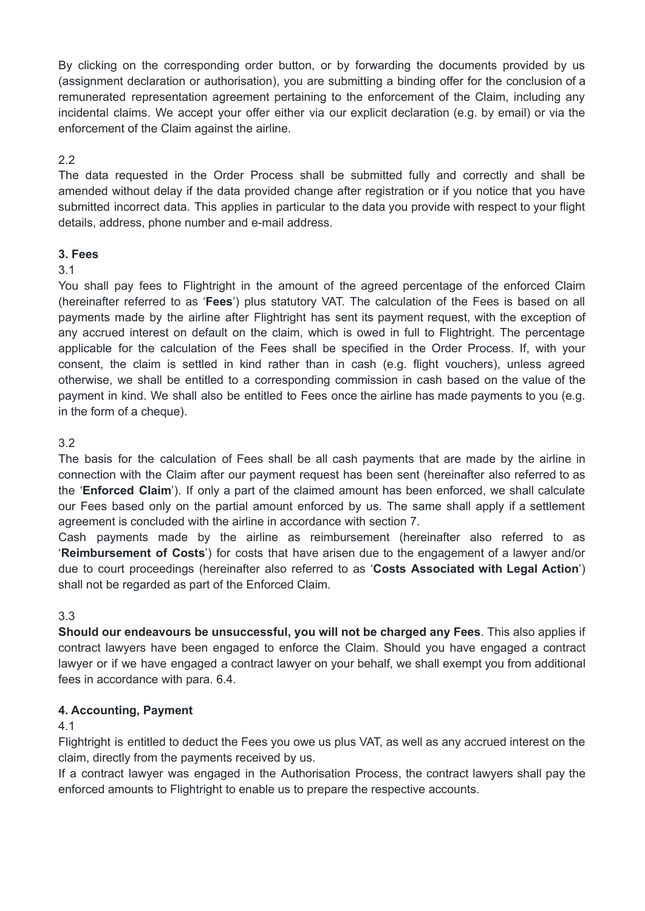By clicking on the corresponding order button, or by forwarding the documents provided by us (assignment declaration or authorisation), you are submitting a binding offer for the conclusion of a remunerated representation agreement pertaining to the enforcement of the Claim, including any incidental claims. We accept your offer either via our explicit declaration (e.g. by email) or via the enforcement of the Claim against the airline.

# 2.2

The data requested in the Order Process shall be submitted fully and correctly and shall be amended without delay if the data provided change after registration or if you notice that you have submitted incorrect data. This applies in particular to the data you provide with respect to your flight details, address, phone number and e-mail address.

### **3. Fees**

### 3.1

You shall pay fees to Flightright in the amount of the agreed percentage of the enforced Claim (hereinafter referred to as '**Fees**') plus statutory VAT. The calculation of the Fees is based on all payments made by the airline after Flightright has sent its payment request, with the exception of any accrued interest on default on the claim, which is owed in full to Flightright. The percentage applicable for the calculation of the Fees shall be specified in the Order Process. If, with your consent, the claim is settled in kind rather than in cash (e.g. flight vouchers), unless agreed otherwise, we shall be entitled to a corresponding commission in cash based on the value of the payment in kind. We shall also be entitled to Fees once the airline has made payments to you (e.g. in the form of a cheque).

# 3.2

The basis for the calculation of Fees shall be all cash payments that are made by the airline in connection with the Claim after our payment request has been sent (hereinafter also referred to as the '**Enforced Claim**'). If only a part of the claimed amount has been enforced, we shall calculate our Fees based only on the partial amount enforced by us. The same shall apply if a settlement agreement is concluded with the airline in accordance with section 7.

Cash payments made by the airline as reimbursement (hereinafter also referred to as '**Reimbursement of Costs**') for costs that have arisen due to the engagement of a lawyer and/or due to court proceedings (hereinafter also referred to as '**Costs Associated with Legal Action**') shall not be regarded as part of the Enforced Claim.

### 3.3

**Should our endeavours be unsuccessful, you will not be charged any Fees**. This also applies if contract lawyers have been engaged to enforce the Claim. Should you have engaged a contract lawyer or if we have engaged a contract lawyer on your behalf, we shall exempt you from additional fees in accordance with para. 6.4.

### **4. Accounting, Payment**

#### 4.1

Flightright is entitled to deduct the Fees you owe us plus VAT, as well as any accrued interest on the claim, directly from the payments received by us.

If a contract lawyer was engaged in the Authorisation Process, the contract lawyers shall pay the enforced amounts to Flightright to enable us to prepare the respective accounts.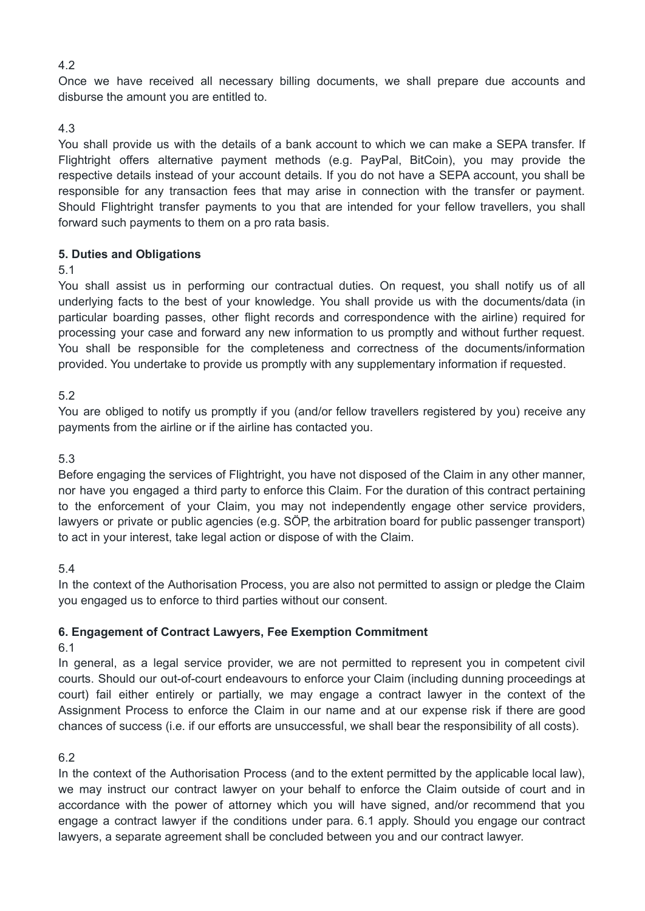### 4.2

Once we have received all necessary billing documents, we shall prepare due accounts and disburse the amount you are entitled to.

### 4.3

You shall provide us with the details of a bank account to which we can make a SEPA transfer. If Flightright offers alternative payment methods (e.g. PayPal, BitCoin), you may provide the respective details instead of your account details. If you do not have a SEPA account, you shall be responsible for any transaction fees that may arise in connection with the transfer or payment. Should Flightright transfer payments to you that are intended for your fellow travellers, you shall forward such payments to them on a pro rata basis.

#### **5. Duties and Obligations**

#### 5.1

You shall assist us in performing our contractual duties. On request, you shall notify us of all underlying facts to the best of your knowledge. You shall provide us with the documents/data (in particular boarding passes, other flight records and correspondence with the airline) required for processing your case and forward any new information to us promptly and without further request. You shall be responsible for the completeness and correctness of the documents/information provided. You undertake to provide us promptly with any supplementary information if requested.

#### 5.2

You are obliged to notify us promptly if you (and/or fellow travellers registered by you) receive any payments from the airline or if the airline has contacted you.

#### 5.3

Before engaging the services of Flightright, you have not disposed of the Claim in any other manner, nor have you engaged a third party to enforce this Claim. For the duration of this contract pertaining to the enforcement of your Claim, you may not independently engage other service providers, lawyers or private or public agencies (e.g. SÖP, the arbitration board for public passenger transport) to act in your interest, take legal action or dispose of with the Claim.

### 5.4

In the context of the Authorisation Process, you are also not permitted to assign or pledge the Claim you engaged us to enforce to third parties without our consent.

### **6. Engagement of Contract Lawyers, Fee Exemption Commitment**

### 6.1

In general, as a legal service provider, we are not permitted to represent you in competent civil courts. Should our out-of-court endeavours to enforce your Claim (including dunning proceedings at court) fail either entirely or partially, we may engage a contract lawyer in the context of the Assignment Process to enforce the Claim in our name and at our expense risk if there are good chances of success (i.e. if our efforts are unsuccessful, we shall bear the responsibility of all costs).

### 6.2

In the context of the Authorisation Process (and to the extent permitted by the applicable local law), we may instruct our contract lawyer on your behalf to enforce the Claim outside of court and in accordance with the power of attorney which you will have signed, and/or recommend that you engage a contract lawyer if the conditions under para. 6.1 apply. Should you engage our contract lawyers, a separate agreement shall be concluded between you and our contract lawyer.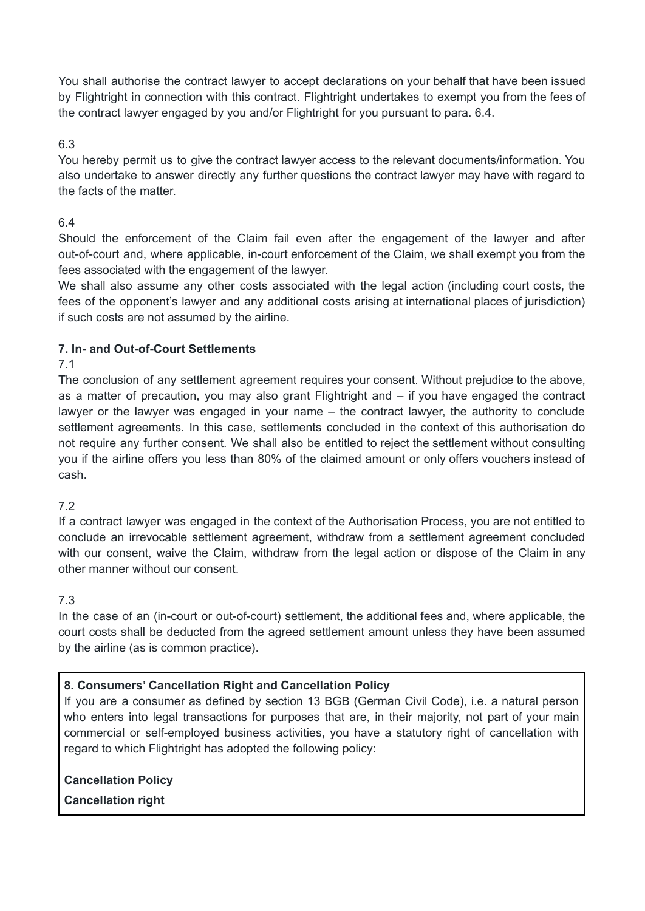You shall authorise the contract lawyer to accept declarations on your behalf that have been issued by Flightright in connection with this contract. Flightright undertakes to exempt you from the fees of the contract lawyer engaged by you and/or Flightright for you pursuant to para. 6.4.

### 6.3

You hereby permit us to give the contract lawyer access to the relevant documents/information. You also undertake to answer directly any further questions the contract lawyer may have with regard to the facts of the matter.

### 6.4

Should the enforcement of the Claim fail even after the engagement of the lawyer and after out-of-court and, where applicable, in-court enforcement of the Claim, we shall exempt you from the fees associated with the engagement of the lawyer.

We shall also assume any other costs associated with the legal action (including court costs, the fees of the opponent's lawyer and any additional costs arising at international places of jurisdiction) if such costs are not assumed by the airline.

### **7. In- and Out-of-Court Settlements**

#### 7.1

The conclusion of any settlement agreement requires your consent. Without prejudice to the above, as a matter of precaution, you may also grant Flightright and – if you have engaged the contract lawyer or the lawyer was engaged in your name – the contract lawyer, the authority to conclude settlement agreements. In this case, settlements concluded in the context of this authorisation do not require any further consent. We shall also be entitled to reject the settlement without consulting you if the airline offers you less than 80% of the claimed amount or only offers vouchers instead of cash.

### 7.2

If a contract lawyer was engaged in the context of the Authorisation Process, you are not entitled to conclude an irrevocable settlement agreement, withdraw from a settlement agreement concluded with our consent, waive the Claim, withdraw from the legal action or dispose of the Claim in any other manner without our consent.

### 7.3

In the case of an (in-court or out-of-court) settlement, the additional fees and, where applicable, the court costs shall be deducted from the agreed settlement amount unless they have been assumed by the airline (as is common practice).

### **8. Consumers' Cancellation Right and Cancellation Policy**

If you are a consumer as defined by section 13 BGB (German Civil Code), i.e. a natural person who enters into legal transactions for purposes that are, in their majority, not part of your main commercial or self-employed business activities, you have a statutory right of cancellation with regard to which Flightright has adopted the following policy:

**Cancellation Policy**

**Cancellation right**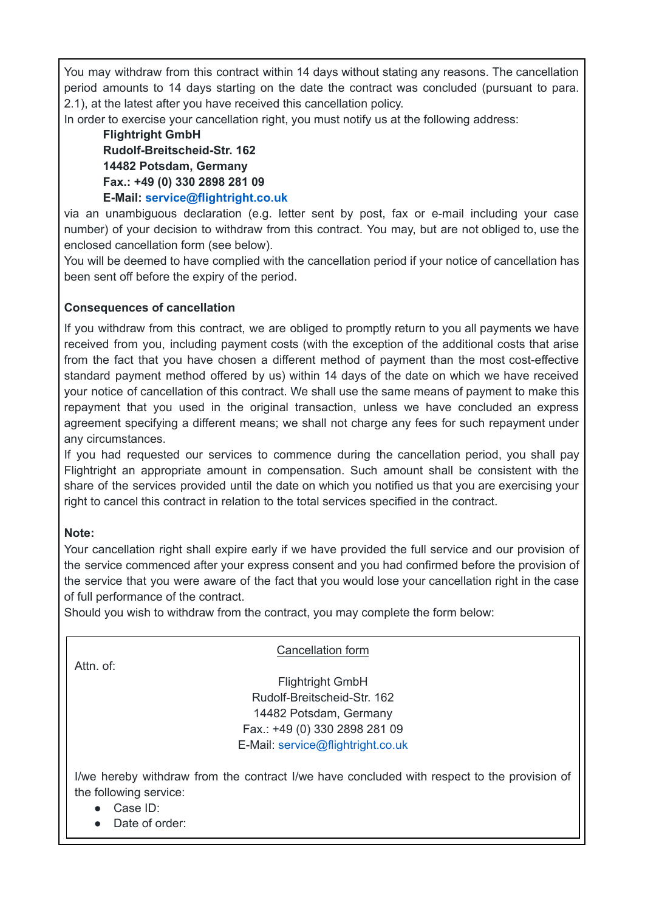You may withdraw from this contract within 14 days without stating any reasons. The cancellation period amounts to 14 days starting on the date the contract was concluded (pursuant to para. 2.1), at the latest after you have received this cancellation policy.

In order to exercise your cancellation right, you must notify us at the following address:

**Flightright GmbH Rudolf-Breitscheid-Str. 162 14482 Potsdam, Germany Fax.: +49 (0) 330 2898 281 09 E-Mail: service@flightright.co.uk**

via an unambiguous declaration (e.g. letter sent by post, fax or e-mail including your case number) of your decision to withdraw from this contract. You may, but are not obliged to, use the enclosed cancellation form (see below).

You will be deemed to have complied with the cancellation period if your notice of cancellation has been sent off before the expiry of the period.

#### **Consequences of cancellation**

If you withdraw from this contract, we are obliged to promptly return to you all payments we have received from you, including payment costs (with the exception of the additional costs that arise from the fact that you have chosen a different method of payment than the most cost-effective standard payment method offered by us) within 14 days of the date on which we have received your notice of cancellation of this contract. We shall use the same means of payment to make this repayment that you used in the original transaction, unless we have concluded an express agreement specifying a different means; we shall not charge any fees for such repayment under any circumstances.

If you had requested our services to commence during the cancellation period, you shall pay Flightright an appropriate amount in compensation. Such amount shall be consistent with the share of the services provided until the date on which you notified us that you are exercising your right to cancel this contract in relation to the total services specified in the contract.

#### **Note:**

Your cancellation right shall expire early if we have provided the full service and our provision of the service commenced after your express consent and you had confirmed before the provision of the service that you were aware of the fact that you would lose your cancellation right in the case of full performance of the contract.

Should you wish to withdraw from the contract, you may complete the form below:

Attn. of:

Cancellation form

Flightright GmbH Rudolf-Breitscheid-Str. 162 14482 Potsdam, Germany Fax.: +49 (0) 330 2898 281 09 E-Mail: service@flightright.co.uk

I/we hereby withdraw from the contract I/we have concluded with respect to the provision of the following service:

● Case ID:

Date of order: